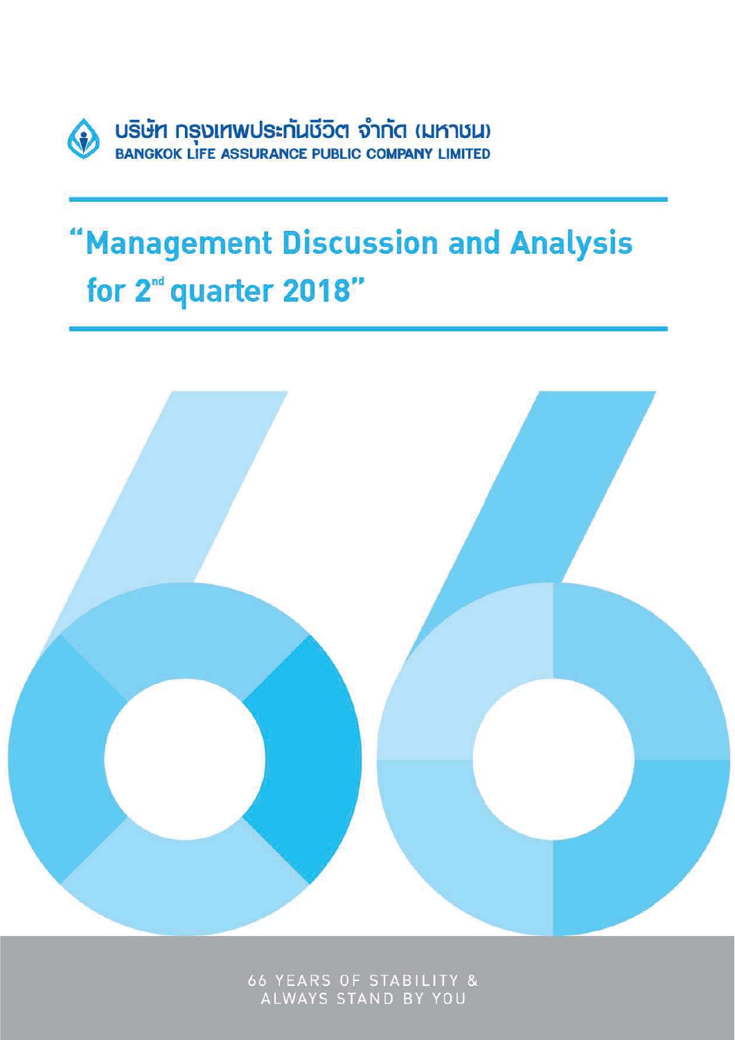

# "Management Discussion and Analysis for 2<sup>nd</sup> quarter 2018"



66 YEARS OF STABILITY &<br>ALWAYS STAND BY YOU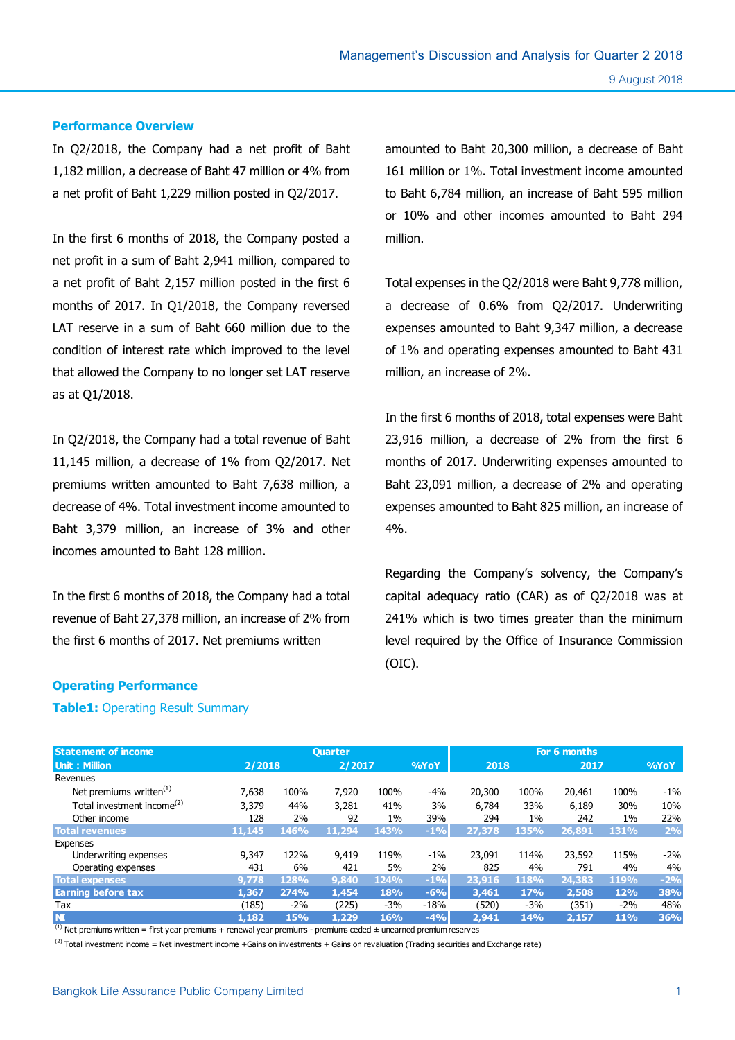#### **Performance Overview**

In Q2/2018, the Company had a net profit of Baht 1,182 million, a decrease of Baht 47 million or 4% from a net profit of Baht 1,229 million posted in Q2/2017.

In the first 6 months of 2018, the Company posted a net profit in a sum of Baht 2,941 million, compared to a net profit of Baht 2,157 million posted in the first 6 months of 2017. In Q1/2018, the Company reversed LAT reserve in a sum of Baht 660 million due to the condition of interest rate which improved to the level that allowed the Company to no longer set LAT reserve as at Q1/2018.

In Q2/2018, the Company had a total revenue of Baht 11,145 million, a decrease of 1% from Q2/2017. Net premiums written amounted to Baht 7,638 million, a decrease of 4%. Total investment income amounted to Baht 3,379 million, an increase of 3% and other incomes amounted to Baht 128 million.

In the first 6 months of 2018, the Company had a total revenue of Baht 27,378 million, an increase of 2% from the first 6 months of 2017. Net premiums written

amounted to Baht 20,300 million, a decrease of Baht 161 million or 1%. Total investment income amounted to Baht 6,784 million, an increase of Baht 595 million or 10% and other incomes amounted to Baht 294 million.

Total expenses in the Q2/2018 were Baht 9,778 million, a decrease of 0.6% from Q2/2017. Underwriting expenses amounted to Baht 9,347 million, a decrease of 1% and operating expenses amounted to Baht 431 million, an increase of 2%.

In the first 6 months of 2018, total expenses were Baht 23,916 million, a decrease of 2% from the first 6 months of 2017. Underwriting expenses amounted to Baht 23,091 million, a decrease of 2% and operating expenses amounted to Baht 825 million, an increase of 4%.

Regarding the Company's solvency, the Company's capital adequacy ratio (CAR) as of Q2/2018 was at 241% which is two times greater than the minimum level required by the Office of Insurance Commission (OIC).

#### **Operating Performance**

#### **Table1:** Operating Result Summary

| <b>Ouarter</b> |             |        |             | For 6 months |        |       |        |       |        |
|----------------|-------------|--------|-------------|--------------|--------|-------|--------|-------|--------|
|                |             |        |             | %YoY         |        |       |        |       | 9/6YoY |
|                |             |        |             |              |        |       |        |       |        |
| 7,638          | 100%        | 7,920  | 100%        | -4%          | 20,300 | 100%  | 20,461 | 100%  | $-1\%$ |
| 3,379          | 44%         | 3,281  | 41%         | 3%           | 6.784  | 33%   | 6,189  | 30%   | 10%    |
| 128            | 2%          | 92     | $1\%$       | 39%          | 294    | $1\%$ | 242    | $1\%$ | 22%    |
| 11,145         | 146%        | 11,294 | 143%        | $-1%$        | 27,378 | 135%  | 26,891 | 131%  | 2%     |
|                |             |        |             |              |        |       |        |       |        |
| 9,347          | 122%        | 9,419  | 119%        | $-1\%$       | 23.091 | 114%  | 23,592 | 115%  | $-2%$  |
| 431            | 6%          | 421    | 5%          | 2%           | 825    | 4%    | 791    | 4%    | 4%     |
| 9,778          | 128%        | 9,840  | <b>124%</b> | $-1%$        | 23,916 | 118%  | 24,383 | 119%  | $-2%$  |
| 1,367          | <b>274%</b> | 1,454  | 18%         | $-6%$        | 3,461  | 17%   | 2,508  | 12%   | 38%    |
| (185)          | $-2\%$      | (225)  | $-3%$       | $-18%$       | (520)  | $-3%$ | (351)  | $-2%$ | 48%    |
| 1.182          | 15%         | 1,229  | 16%         | $-4%$        | 2.941  | 14%   | 2,157  | 11%   | 36%    |
|                |             | 2/2018 |             | 2/2017       |        |       | 2018   |       | 2017   |

 $<sup>(1)</sup>$  Net premiums written = first year premiums + renewal year premiums - premiums ceded  $\pm$  unearned premium reserves</sup>

 $^{(2)}$  Total investment income = Net investment income +Gains on investments + Gains on revaluation (Trading securities and Exchange rate)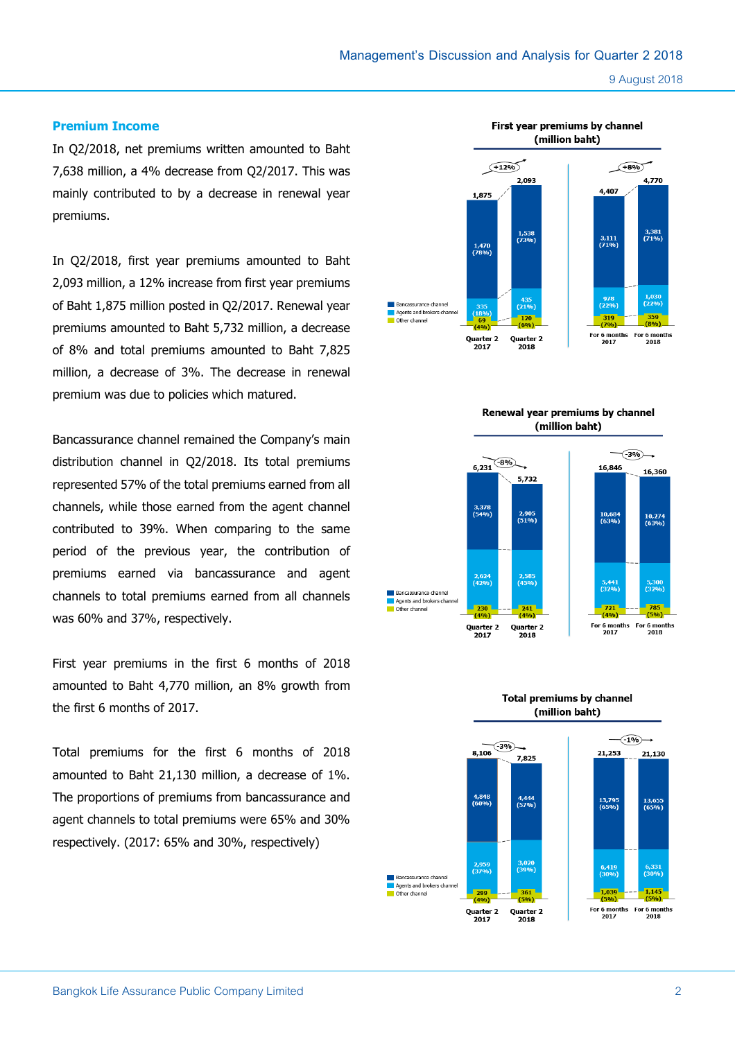#### **Premium Income**

In Q2/2018, net premiums written amounted to Baht 7,638 million, a 4% decrease from Q2/2017. This was mainly contributed to by a decrease in renewal year premiums.

In Q2/2018, first year premiums amounted to Baht 2,093 million, a 12% increase from first year premiums of Baht 1,875 million posted in Q2/2017. Renewal year premiums amounted to Baht 5,732 million, a decrease of 8% and total premiums amounted to Baht 7,825 million, a decrease of 3%. The decrease in renewal premium was due to policies which matured.

Bancassurance channel remained the Company's main distribution channel in Q2/2018. Its total premiums represented 57% of the total premiums earned from all channels, while those earned from the agent channel contributed to 39%. When comparing to the same period of the previous year, the contribution of premiums earned via bancassurance and agent channels to total premiums earned from all channels was 60% and 37%, respectively.

First year premiums in the first 6 months of 2018 amounted to Baht 4,770 million, an 8% growth from the first 6 months of 2017.

Total premiums for the first 6 months of 2018 amounted to Baht 21,130 million, a decrease of 1%. The proportions of premiums from bancassurance and agent channels to total premiums were 65% and 30% respectively. (2017: 65% and 30%, respectively)



Renewal year premiums by channel (million baht)



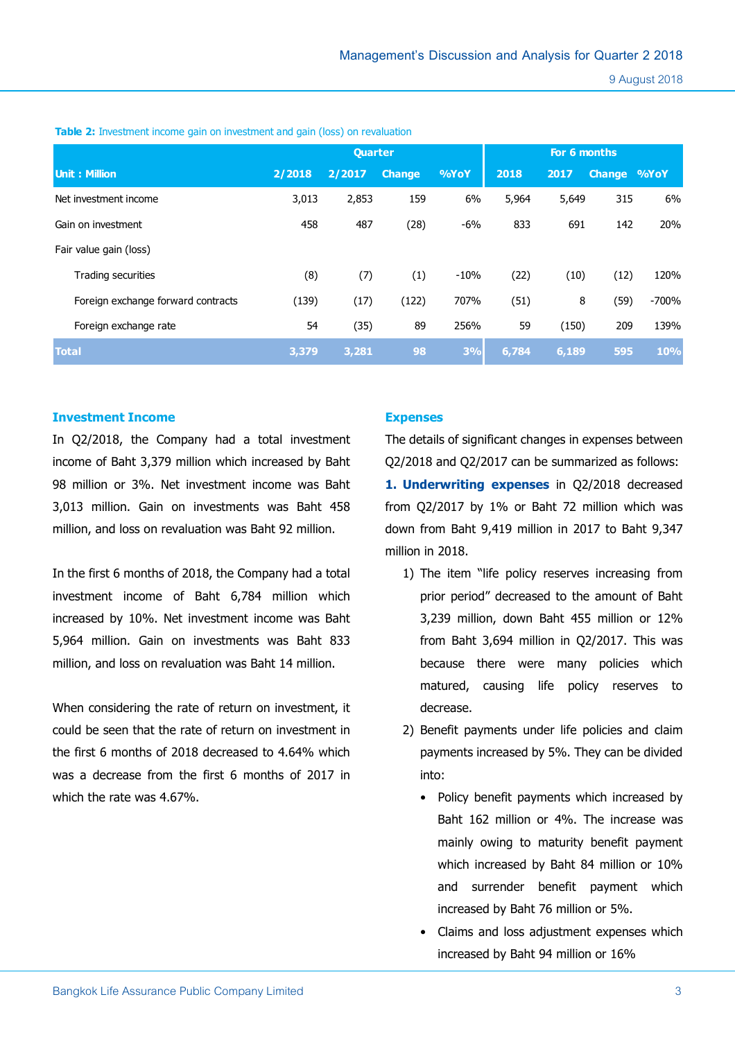9 August 2018

|                                    | <b>Quarter</b> |        |               |        | For 6 months |       |                    |            |
|------------------------------------|----------------|--------|---------------|--------|--------------|-------|--------------------|------------|
| <b>Unit: Million</b>               | 2/2018         | 2/2017 | <b>Change</b> | %YoY   | 2018         | 2017  | <b>Change %YoY</b> |            |
| Net investment income              | 3,013          | 2,853  | 159           | 6%     | 5,964        | 5,649 | 315                | 6%         |
| Gain on investment                 | 458            | 487    | (28)          | -6%    | 833          | 691   | 142                | 20%        |
| Fair value gain (loss)             |                |        |               |        |              |       |                    |            |
| <b>Trading securities</b>          | (8)            | (7)    | (1)           | $-10%$ | (22)         | (10)  | (12)               | 120%       |
| Foreign exchange forward contracts | (139)          | (17)   | (122)         | 707%   | (51)         | 8     | (59)               | $-700%$    |
| Foreign exchange rate              | 54             | (35)   | 89            | 256%   | 59           | (150) | 209                | 139%       |
| <b>Total</b>                       | 3,379          | 3,281  | 98            | 3%     | 6,784        | 6,189 | 595                | <b>10%</b> |

**Table 2:** Investment income gain on investment and gain (loss) on revaluation

## **Investment Income**

In Q2/2018, the Company had a total investment income of Baht 3,379 million which increased by Baht 98 million or 3%. Net investment income was Baht 3,013 million. Gain on investments was Baht 458 million, and loss on revaluation was Baht 92 million.

In the first 6 months of 2018, the Company had a total investment income of Baht 6,784 million which increased by 10%. Net investment income was Baht 5,964 million. Gain on investments was Baht 833 million, and loss on revaluation was Baht 14 million.

When considering the rate of return on investment, it could be seen that the rate of return on investment in the first 6 months of 2018 decreased to 4.64% which was a decrease from the first 6 months of 2017 in which the rate was 4.67%.

#### **Expenses**

The details of significant changes in expenses between Q2/2018 and Q2/2017 can be summarized as follows: **1. Underwriting expenses** in Q2/2018 decreased from Q2/2017 by 1% or Baht 72 million which was down from Baht 9,419 million in 2017 to Baht 9,347 million in 2018.

- 1) The item "life policy reserves increasing from prior period" decreased to the amount of Baht 3,239 million, down Baht 455 million or 12% from Baht 3,694 million in Q2/2017. This was because there were many policies which matured, causing life policy reserves to decrease.
- 2) Benefit payments under life policies and claim payments increased by 5%. They can be divided into:
	- Policy benefit payments which increased by Baht 162 million or 4%. The increase was mainly owing to maturity benefit payment which increased by Baht 84 million or 10% and surrender benefit payment which increased by Baht 76 million or 5%.
	- Claims and loss adjustment expenses which increased by Baht 94 million or 16%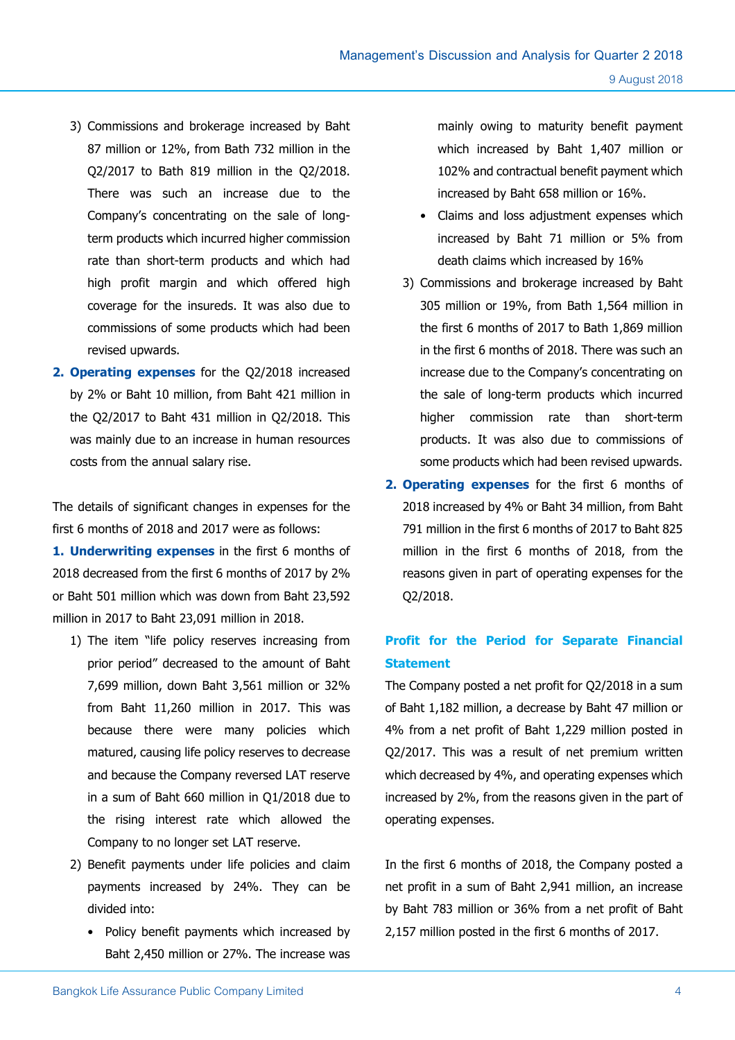- 3) Commissions and brokerage increased by Baht 87 million or 12%, from Bath 732 million in the Q2/2017 to Bath 819 million in the Q2/2018. There was such an increase due to the Company's concentrating on the sale of longterm products which incurred higher commission rate than short-term products and which had high profit margin and which offered high coverage for the insureds. It was also due to commissions of some products which had been revised upwards.
- **2. Operating expenses** for the Q2/2018 increased by 2% or Baht 10 million, from Baht 421 million in the Q2/2017 to Baht 431 million in Q2/2018. This was mainly due to an increase in human resources costs from the annual salary rise.

The details of significant changes in expenses for the first 6 months of 2018 and 2017 were as follows:

**1. Underwriting expenses** in the first 6 months of 2018 decreased from the first 6 months of 2017 by 2% or Baht 501 million which was down from Baht 23,592 million in 2017 to Baht 23,091 million in 2018.

- 1) The item "life policy reserves increasing from prior period" decreased to the amount of Baht 7,699 million, down Baht 3,561 million or 32% from Baht 11,260 million in 2017. This was because there were many policies which matured, causing life policy reserves to decrease and because the Company reversed LAT reserve in a sum of Baht 660 million in Q1/2018 due to the rising interest rate which allowed the Company to no longer set LAT reserve.
- 2) Benefit payments under life policies and claim payments increased by 24%. They can be divided into:
	- Policy benefit payments which increased by Baht 2,450 million or 27%. The increase was

mainly owing to maturity benefit payment which increased by Baht 1,407 million or 102% and contractual benefit payment which increased by Baht 658 million or 16%.

- Claims and loss adjustment expenses which increased by Baht 71 million or 5% from death claims which increased by 16%
- 3) Commissions and brokerage increased by Baht 305 million or 19%, from Bath 1,564 million in the first 6 months of 2017 to Bath 1,869 million in the first 6 months of 2018. There was such an increase due to the Company's concentrating on the sale of long-term products which incurred higher commission rate than short-term products. It was also due to commissions of some products which had been revised upwards.
- **2. Operating expenses** for the first 6 months of 2018 increased by 4% or Baht 34 million, from Baht 791 million in the first 6 months of 2017 to Baht 825 million in the first 6 months of 2018, from the reasons given in part of operating expenses for the Q2/2018.

# **Profit for the Period for Separate Financial Statement**

The Company posted a net profit for Q2/2018 in a sum of Baht 1,182 million, a decrease by Baht 47 million or 4% from a net profit of Baht 1,229 million posted in Q2/2017. This was a result of net premium written which decreased by 4%, and operating expenses which increased by 2%, from the reasons given in the part of operating expenses.

In the first 6 months of 2018, the Company posted a net profit in a sum of Baht 2,941 million, an increase by Baht 783 million or 36% from a net profit of Baht 2,157 million posted in the first 6 months of 2017.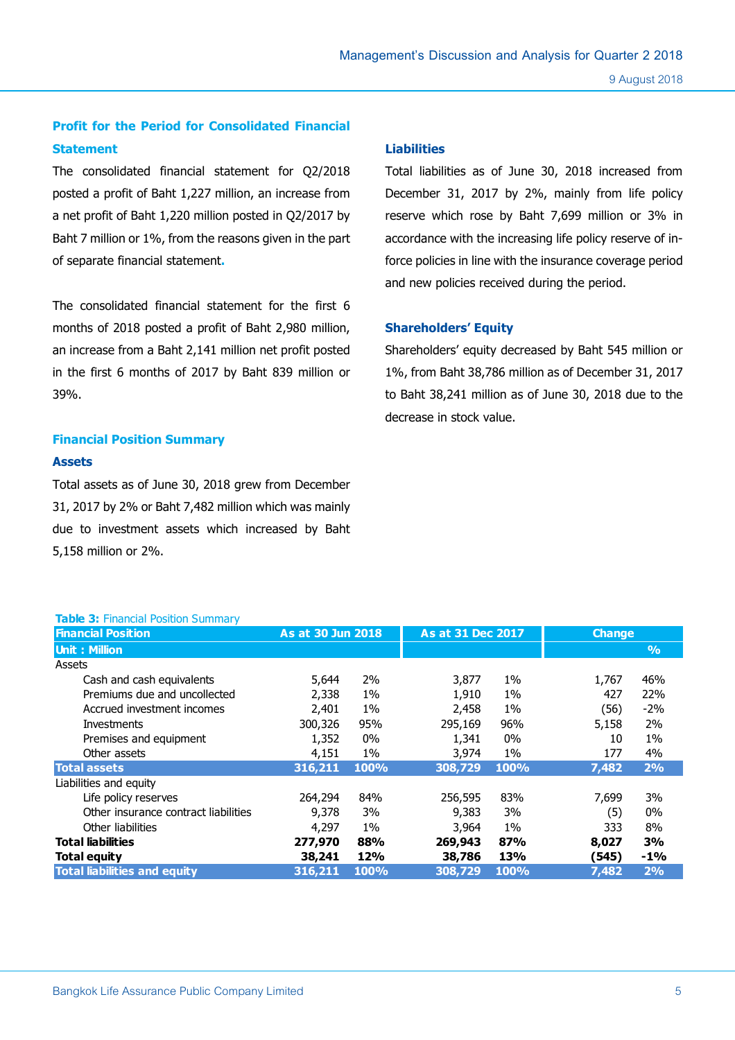# **Profit for the Period for Consolidated Financial Statement**

The consolidated financial statement for Q2/2018 posted a profit of Baht 1,227 million, an increase from a net profit of Baht 1,220 million posted in Q2/2017 by Baht 7 million or 1%, from the reasons given in the part of separate financial statement**.** 

The consolidated financial statement for the first 6 months of 2018 posted a profit of Baht 2,980 million, an increase from a Baht 2,141 million net profit posted in the first 6 months of 2017 by Baht 839 million or 39%.

# **Financial Position Summary**

**Table 3: Financial Position Summary** 

#### **Assets**

Total assets as of June 30, 2018 grew from December 31, 2017 by 2% or Baht 7,482 million which was mainly due to investment assets which increased by Baht 5,158 million or 2%.

#### **Liabilities**

Total liabilities as of June 30, 2018 increased from December 31, 2017 by 2%, mainly from life policy reserve which rose by Baht 7,699 million or 3% in accordance with the increasing life policy reserve of inforce policies in line with the insurance coverage period and new policies received during the period.

#### **Shareholders' Equity**

Shareholders' equity decreased by Baht 545 million or 1%, from Baht 38,786 million as of December 31, 2017 to Baht 38,241 million as of June 30, 2018 due to the decrease in stock value.

| <b>Financial Position</b>            | As at 30 Jun 2018 |            | As at 31 Dec 2017 |             | <b>Change</b> |               |
|--------------------------------------|-------------------|------------|-------------------|-------------|---------------|---------------|
| <b>Unit: Million</b>                 |                   |            |                   |             |               | $\frac{9}{6}$ |
| Assets                               |                   |            |                   |             |               |               |
| Cash and cash equivalents            | 5,644             | 2%         | 3,877             | $1\%$       | 1,767         | 46%           |
| Premiums due and uncollected         | 2,338             | 1%         | 1,910             | $1\%$       | 427           | 22%           |
| Accrued investment incomes           | 2,401             | $1\%$      | 2,458             | $1\%$       | (56)          | $-2%$         |
| <b>Investments</b>                   | 300,326           | 95%        | 295,169           | 96%         | 5,158         | 2%            |
| Premises and equipment               | 1,352             | 0%         | 1,341             | 0%          | 10            | $1\%$         |
| Other assets                         | 4,151             | 1%         | 3,974             | 1%          | 177           | 4%            |
| <b>Total assets</b>                  | 316,211           | 100%       | 308,729           | <b>100%</b> | 7,482         | 2%            |
| Liabilities and equity               |                   |            |                   |             |               |               |
| Life policy reserves                 | 264,294           | 84%        | 256,595           | 83%         | 7,699         | 3%            |
| Other insurance contract liabilities | 9,378             | 3%         | 9,383             | 3%          | (5)           | $0\%$         |
| Other liabilities                    | 4,297             | 1%         | 3,964             | $1\%$       | 333           | 8%            |
| <b>Total liabilities</b>             | 277,970           | 88%        | 269,943           | 87%         | 8,027         | 3%            |
| Total equity                         | 38,241            | <b>12%</b> | 38,786            | 13%         | (545)         | $-1\%$        |
| <b>Total liabilities and equity</b>  | 316,211           | 100%       | 308,729           | 100%        | 7,482         | 2%            |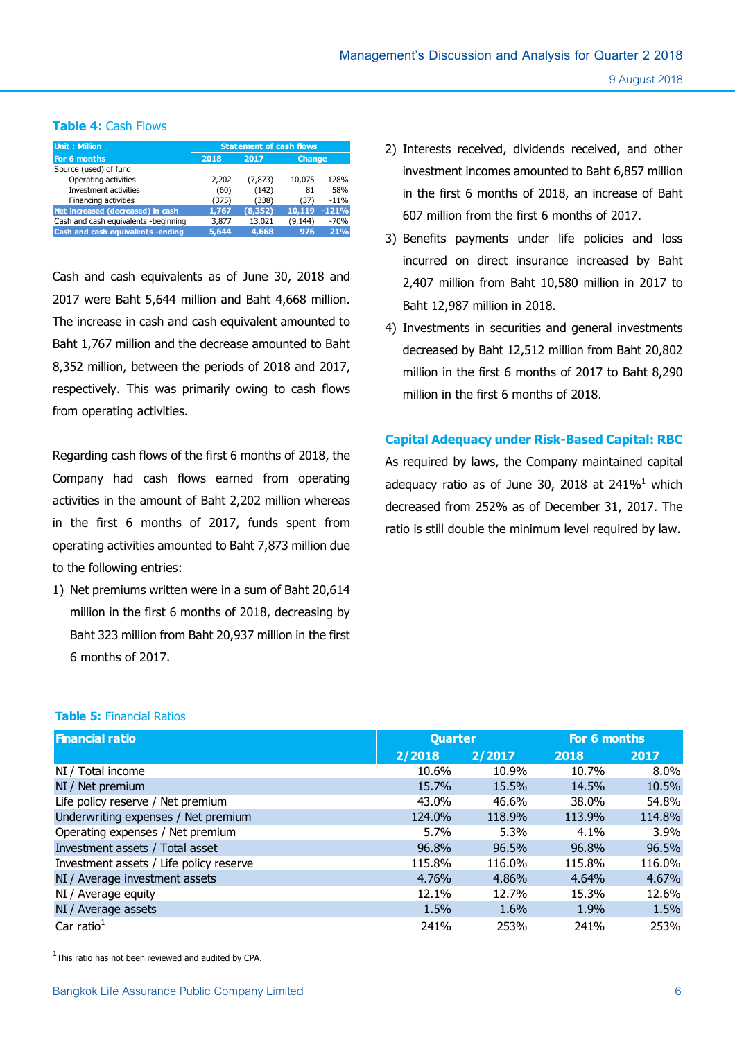### **Table 4:** Cash Flows

| Unit: Million                        | <b>Statement of cash flows</b> |          |               |         |  |  |  |
|--------------------------------------|--------------------------------|----------|---------------|---------|--|--|--|
| For 6 months                         | 2018                           | 2017     | <b>Change</b> |         |  |  |  |
| Source (used) of fund                |                                |          |               |         |  |  |  |
| Operating activities                 | 2,202                          | (7, 873) | 10,075        | 128%    |  |  |  |
| Investment activities                | (60)                           | (142)    | 81            | 58%     |  |  |  |
| Financing activities                 | (375)                          | (338)    | (37)          | $-11%$  |  |  |  |
| Net increased (decreased) in cash    | 1,767                          | (8, 352) | 10,119        | $-121%$ |  |  |  |
| Cash and cash equivalents -beginning | 3,877                          | 13,021   | (9, 144)      | $-70%$  |  |  |  |
| Cash and cash equivalents -ending    | 5,644                          | 4.668    | 976           | 21%     |  |  |  |

Cash and cash equivalents as of June 30, 2018 and 2017 were Baht 5,644 million and Baht 4,668 million. The increase in cash and cash equivalent amounted to Baht 1,767 million and the decrease amounted to Baht 8,352 million, between the periods of 2018 and 2017, respectively. This was primarily owing to cash flows from operating activities.

Regarding cash flows of the first 6 months of 2018, the Company had cash flows earned from operating activities in the amount of Baht 2,202 million whereas in the first 6 months of 2017, funds spent from operating activities amounted to Baht 7,873 million due to the following entries:

1) Net premiums written were in a sum of Baht 20,614 million in the first 6 months of 2018, decreasing by Baht 323 million from Baht 20,937 million in the first 6 months of 2017.

- 2) Interests received, dividends received, and other investment incomes amounted to Baht 6,857 million in the first 6 months of 2018, an increase of Baht 607 million from the first 6 months of 2017.
- 3) Benefits payments under life policies and loss incurred on direct insurance increased by Baht 2,407 million from Baht 10,580 million in 2017 to Baht 12,987 million in 2018.
- 4) Investments in securities and general investments decreased by Baht 12,512 million from Baht 20,802 million in the first 6 months of 2017 to Baht 8,290 million in the first 6 months of 2018.

# **Capital Adequacy under Risk-Based Capital: RBC**

As required by laws, the Company maintained capital adequacy ratio as of June 30, 2018 at  $241\%<sup>1</sup>$  which decreased from 252% as of December 31, 2017. The ratio is still double the minimum level required by law.

#### **Table 5:** Financial Ratios

| <b>Financial ratio</b>                  | <b>Quarter</b> |        | For 6 months |        |  |
|-----------------------------------------|----------------|--------|--------------|--------|--|
|                                         | 2/2018         | 2/2017 | 2018         | 2017   |  |
| NI / Total income                       | 10.6%          | 10.9%  | 10.7%        | 8.0%   |  |
| NI / Net premium                        | 15.7%          | 15.5%  | 14.5%        | 10.5%  |  |
| Life policy reserve / Net premium       | 43.0%          | 46.6%  | 38.0%        | 54.8%  |  |
| Underwriting expenses / Net premium     | 124.0%         | 118.9% | 113.9%       | 114.8% |  |
| Operating expenses / Net premium        | $5.7\%$        | 5.3%   | 4.1%         | 3.9%   |  |
| Investment assets / Total asset         | 96.8%          | 96.5%  | 96.8%        | 96.5%  |  |
| Investment assets / Life policy reserve | 115.8%         | 116.0% | 115.8%       | 116.0% |  |
| NI / Average investment assets          | 4.76%          | 4.86%  | 4.64%        | 4.67%  |  |
| NI / Average equity                     | 12.1%          | 12.7%  | 15.3%        | 12.6%  |  |
| NI / Average assets                     | 1.5%           | 1.6%   | 1.9%         | 1.5%   |  |
| Car ratio $1$                           | 241%           | 253%   | 241%         | 253%   |  |

 $1$ This ratio has not been reviewed and audited by CPA.